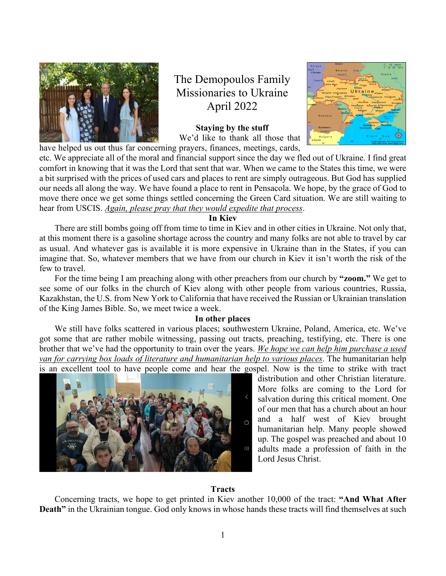

The Demopoulos Family Missionaries to Ukraine April 2022

**Staying by the stuff**  We'd like to thank all those that have helped us out thus far concerning prayers, finances, meetings, cards,



etc. We appreciate all of the moral and financial support since the day we fled out of Ukraine. I find great comfort in knowing that it was the Lord that sent that war. When we came to the States this time, we were a bit surprised with the prices of used cars and places to rent are simply outrageous. But God has supplied our needs all along the way. We have found a place to rent in Pensacola. We hope, by the grace of God to move there once we get some things settled concerning the Green Card situation. We are still waiting to hear from USCIS. *Again, please pray that they would expedite that process*.

### **In Kiev**

 There are still bombs going off from time to time in Kiev and in other cities in Ukraine. Not only that, at this moment there is a gasoline shortage across the country and many folks are not able to travel by car as usual. And whatever gas is available it is more expensive in Ukraine than in the States, if you can imagine that. So, whatever members that we have from our church in Kiev it isn't worth the risk of the few to travel.

 For the time being I am preaching along with other preachers from our church by **"zoom."** We get to see some of our folks in the church of Kiev along with other people from various countries, Russia, Kazakhstan, the U.S. from New York to California that have received the Russian or Ukrainian translation of the King James Bible. So, we meet twice a week.

# **In other places**

 We still have folks scattered in various places; southwestern Ukraine, Poland, America, etc. We've got some that are rather mobile witnessing, passing out tracts, preaching, testifying, etc. There is one brother that we've had the opportunity to train over the years. *We hope we can help him purchase a used van for carrying box loads of literature and humanitarian help to various places*. The humanitarian help is an excellent tool to have people come and hear the gospel. Now is the time to strike with tract



distribution and other Christian literature. More folks are coming to the Lord for salvation during this critical moment. One of our men that has a church about an hour and a half west of Kiev brought humanitarian help. Many people showed up. The gospel was preached and about 10 adults made a profession of faith in the Lord Jesus Christ.

#### **Tracts**

 Concerning tracts, we hope to get printed in Kiev another 10,000 of the tract: **"And What After Death**" in the Ukrainian tongue. God only knows in whose hands these tracts will find themselves at such